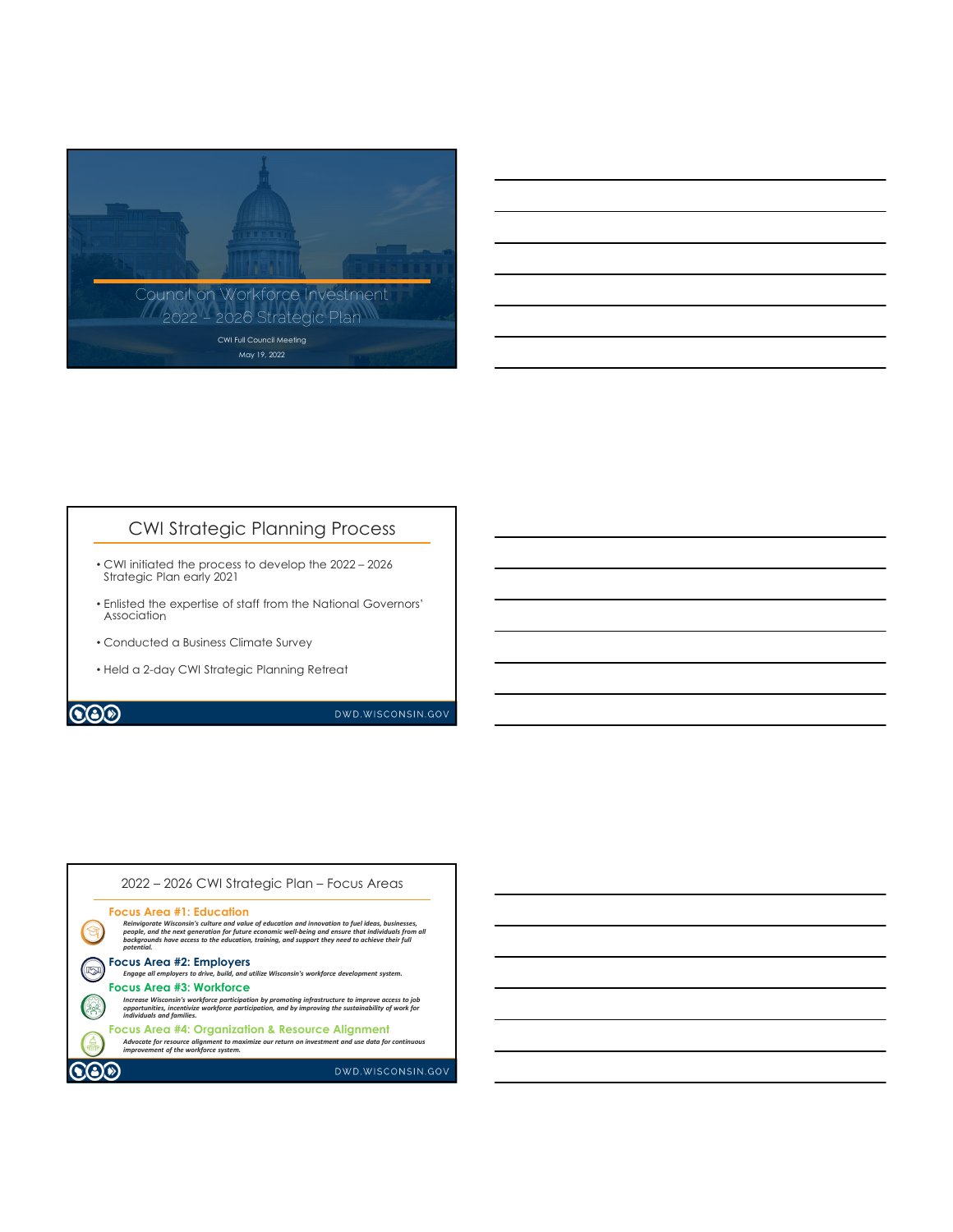

## CWI Strategic Planning Process

- CWI initiated the process to develop the 2022 2026 Strategic Plan early 2021
- Enlisted the expertise of staff from the National Governors' Association
- Conducted a Business Climate Survey
- Held a 2-day CWI Strategic Planning Retreat

## **CO**

DWD.WISCONSIN.GOV

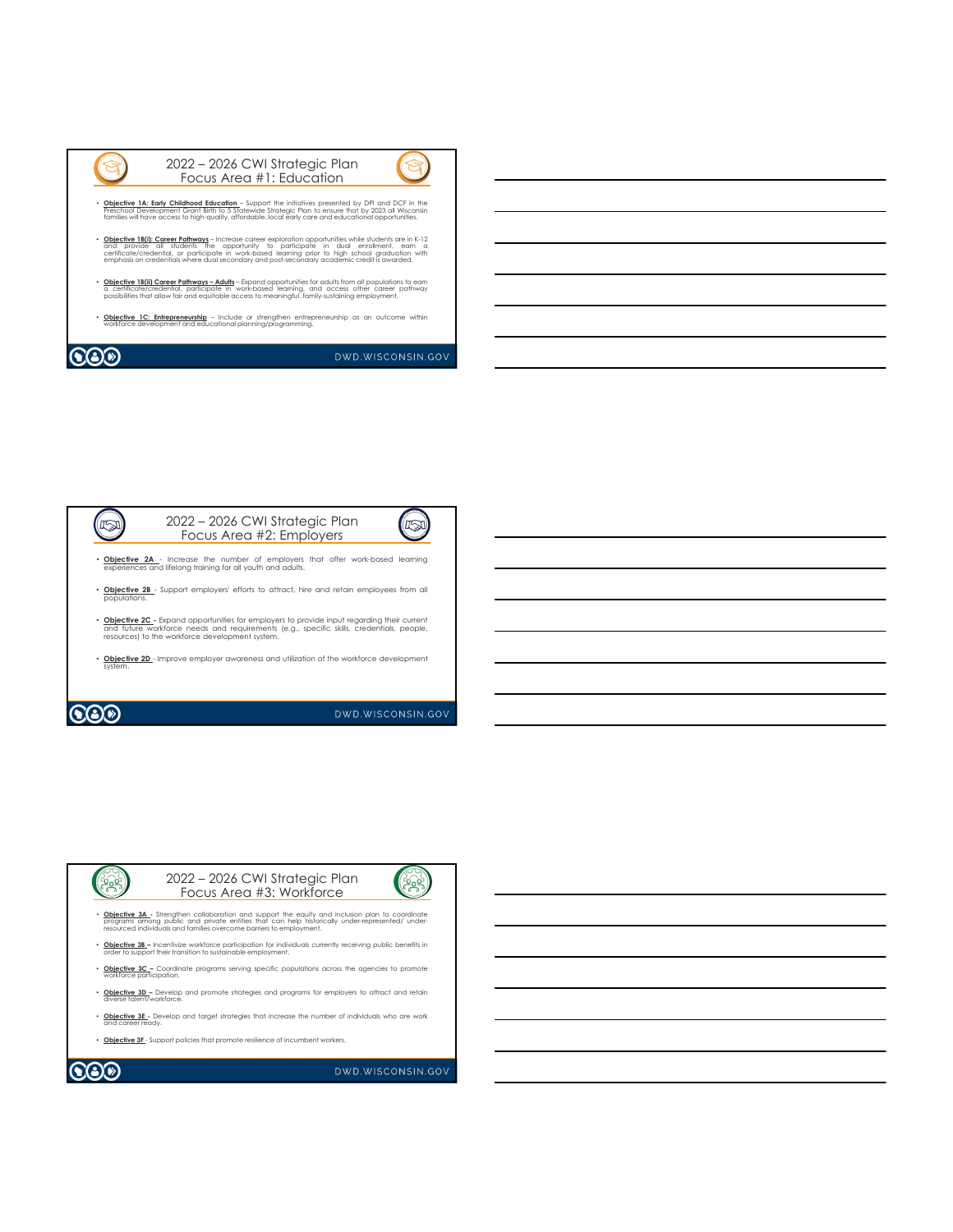| 2022 - 2026 CWI Strategic Plan<br>Focus Area #1: Education                                                                                                                                                                                                                                                                                                                                         |                     |
|----------------------------------------------------------------------------------------------------------------------------------------------------------------------------------------------------------------------------------------------------------------------------------------------------------------------------------------------------------------------------------------------------|---------------------|
| Objective 1A: Early Childhood Education - Support the initiatives presented by DPI and DCF in the<br>Preschool Development Grant Birth to 5 Statewide Strategic Plan to ensure that by 2023 all Wisconsin<br>families will have access to high-quality, affordable, local early care and educational opportunities.                                                                                |                     |
| Objective 1B(i): Career Pathways - Increase career exploration opportunities while students are in K-12<br>and provide all students the opportunity to participate in dual enrollment, earn a<br>certificate/credential, or participate in work-based learning prior to high school graduation with<br>emphasis on credentials where dual secondary and post-secondary academic credit is awarded. |                     |
| Objective 1B(ii) Career Pathways - Adults - Expand opportunities for adults from all populations to earn<br>a certificate/credential, participate in work-based learning, and access other career pathway<br>possibilities that allow fair and equitable access to meaningful, family-sustaining employment.                                                                                       |                     |
| Objective 1C: Entrepreneurship - Include or strengthen entrepreneurship as an outcome within<br>workforce development and educational planning/programming.                                                                                                                                                                                                                                        |                     |
|                                                                                                                                                                                                                                                                                                                                                                                                    | DWD. WISCONSIN. GOV |



2022 – 2026 CWI Strategic Plan **Post** (See Focus Area #3: Workforce• <u>Objective 3A</u> - Strengthen collaboration and support the equity and inclusion plan to coordinate<br>programs among public and private entities that can help historically under-represented/ under-<br>resourced individuals and • **Objective 3B –** Incentivize workforce participation for individuals currently receiving public benefits in order to support their transition to sustainable employment. • **Objective 3C** – Coordinate programs serving specific populations across the agencies to promote workforce participation.

• **Objective 3D –** Develop and promote strategies and programs for employers to attract and retain diverse talent/workforce.

• **Objective 3E -** Develop and target strategies that increase the number of individuals who are work and career ready.

• **Objective 3F** - Support policies that promote resilience of incumbent workers.

**COO** 

DWD.WISCONSIN.GOV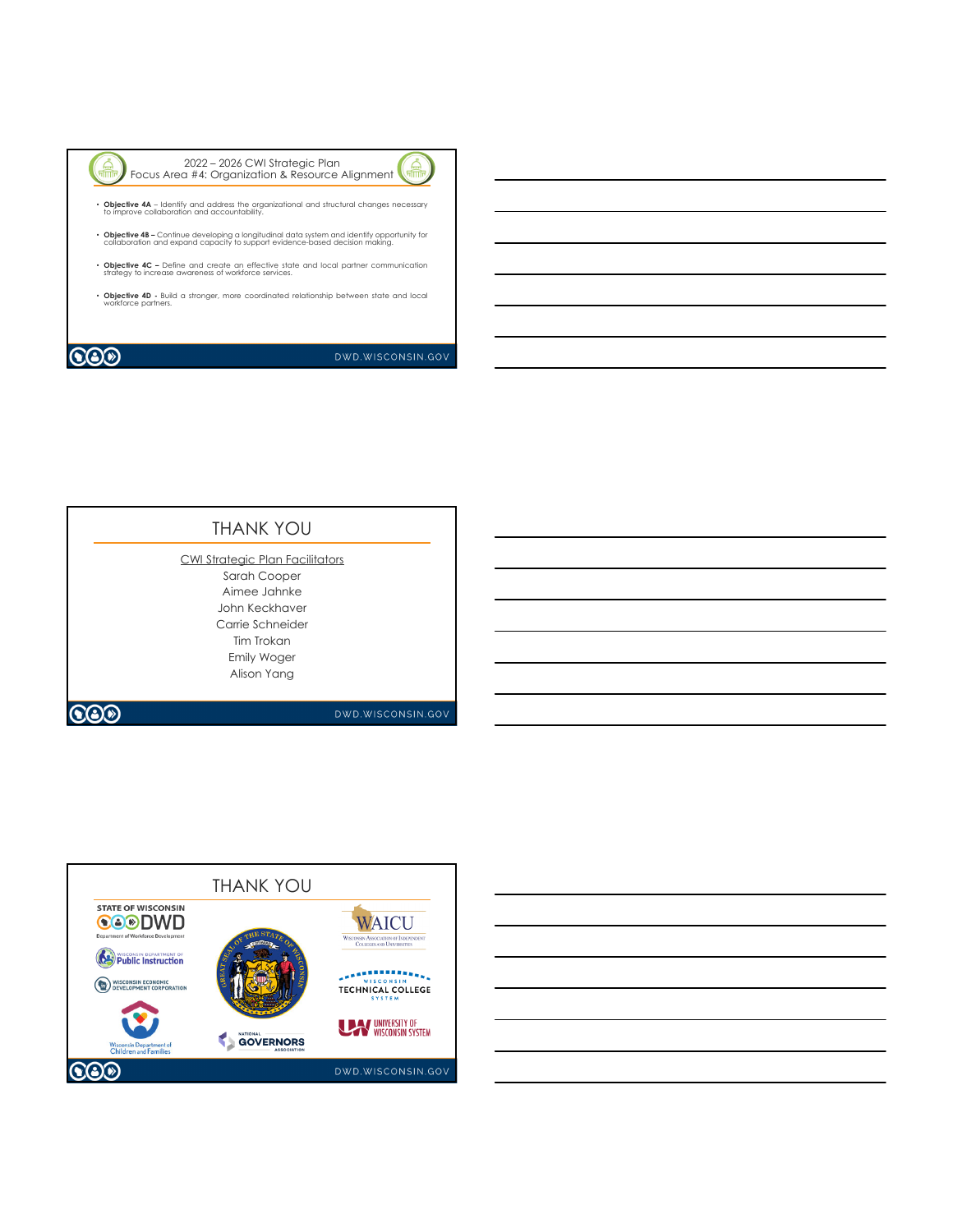

2022 – 2026 CWI Strategic Plan Focus Area #4: Organization & Resource Alignment



• **Objective 4A** – Identify and address the organizational and structural changes necessary to improve collaboration and accountability.

- **Objective 4B –** Continue developing a longitudinal data system and identify opportunity for collaboration and expand capacity to support evidence-based decision making.
- **Objective 4C –** Define and create an effective state and local partner communication strategy to increase awareness of workforce services.
- **Objective 4D -** Build a stronger, more coordinated relationship between state and local workforce partners.

## **CO**

DWD.WISCONSIN.GOV

| <b>THANK YOU</b>                                |
|-------------------------------------------------|
| CWI Strategic Plan Facilitators<br>Sarah Cooper |
| Aimee Jahnke                                    |
| John Keckhaver                                  |
| Carrie Schneider                                |
| Tim Trokan                                      |
| Emily Woger                                     |
| Alison Yang                                     |
|                                                 |
| DWD.WISCONSIN.GC                                |